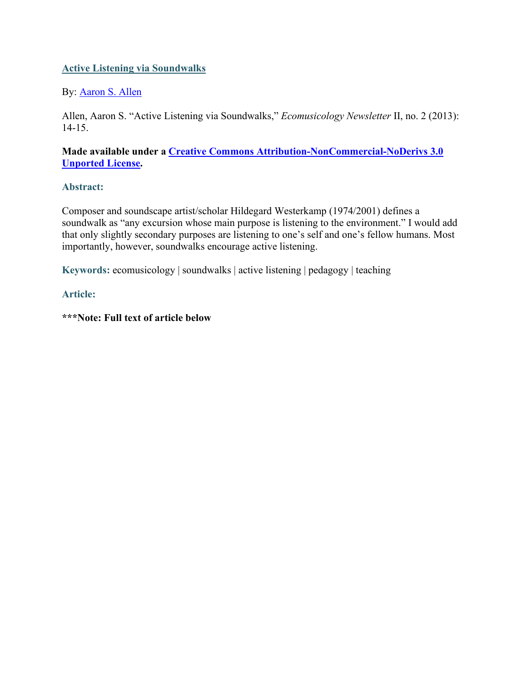# **Active Listening via Soundwalks**

# By: [Aaron S. Allen](http://libres.uncg.edu/ir/uncg/clist.aspx?id=2960)

Allen, Aaron S. "Active Listening via Soundwalks," *Ecomusicology Newsletter* II, no. 2 (2013): 14-15.

# **Made available under a [Creative Commons Attribution-NonCommercial-NoDerivs 3.0](http://creativecommons.org/licenses/by-nc-nd/3.0/)  [Unported License.](http://creativecommons.org/licenses/by-nc-nd/3.0/)**

# **Abstract:**

Composer and soundscape artist/scholar Hildegard Westerkamp (1974/2001) defines a soundwalk as "any excursion whose main purpose is listening to the environment." I would add that only slightly secondary purposes are listening to one's self and one's fellow humans. Most importantly, however, soundwalks encourage active listening.

**Keywords:** ecomusicology | soundwalks | active listening | pedagogy | teaching

### **Article:**

**\*\*\*Note: Full text of article below**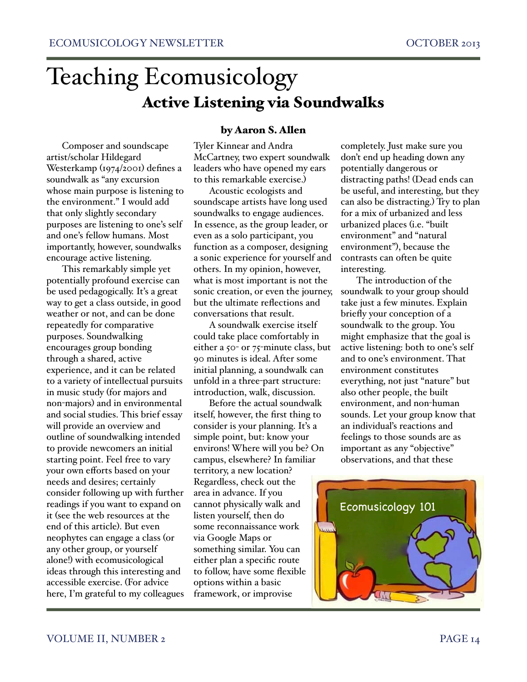# Teaching Ecomusicology Active Listening via Soundwalks

Composer and soundscape artist/scholar Hildegard Westerkamp (1974/2001) defines a soundwalk as "any excursion whose main purpose is listening to the environment." I would add that only slightly secondary purposes are listening to one's self and one's fellow humans. Most importantly, however, soundwalks encourage active listening.

This remarkably simple yet potentially profound exercise can be used pedagogically. It's a great way to get a class outside, in good weather or not, and can be done repeatedly for comparative purposes. Soundwalking encourages group bonding through a shared, active experience, and it can be related to a variety of intellectual pursuits in music study (for majors and non-majors) and in environmental and social studies. This brief essay will provide an overview and outline of soundwalking intended to provide newcomers an initial starting point. Feel free to vary your own efforts based on your needs and desires; certainly consider following up with further readings if you want to expand on it (see the web resources at the end of this article). But even neophytes can engage a class (or any other group, or yourself alone!) with ecomusicological ideas through this interesting and accessible exercise. (For advice here, I'm grateful to my colleagues

# by Aaron S. Allen

Tyler Kinnear and Andra McCartney, two expert soundwalk leaders who have opened my ears to this remarkable exercise.)

Acoustic ecologists and soundscape artists have long used soundwalks to engage audiences. In essence, as the group leader, or even as a solo participant, you function as a composer, designing a sonic experience for yourself and others. In my opinion, however, what is most important is not the sonic creation, or even the journey, but the ultimate reflections and conversations that result.

A soundwalk exercise itself could take place comfortably in either a 50- or 75-minute class, but 90 minutes is ideal. After some initial planning, a soundwalk can unfold in a three-part structure: introduction, walk, discussion.

Before the actual soundwalk itself, however, the first thing to consider is your planning. It's a simple point, but: know your environs! Where will you be? On campus, elsewhere? In familiar territory, a new location? Regardless, check out the area in advance. If you cannot physically walk and listen yourself, then do some reconnaissance work via Google Maps or something similar. You can either plan a specific route to follow, have some flexible options within a basic framework, or improvise

completely. Just make sure you don't end up heading down any potentially dangerous or distracting paths! (Dead ends can be useful, and interesting, but they can also be distracting.) Try to plan for a mix of urbanized and less urbanized places (i.e. "built environment" and "natural environment"), because the contrasts can often be quite interesting.

The introduction of the soundwalk to your group should take just a few minutes. Explain briefly your conception of a soundwalk to the group. You might emphasize that the goal is active listening: both to one's self and to one's environment. That environment constitutes everything, not just "nature" but also other people, the built environment, and non-human sounds. Let your group know that an individual's reactions and feelings to those sounds are as important as any "objective" observations, and that these